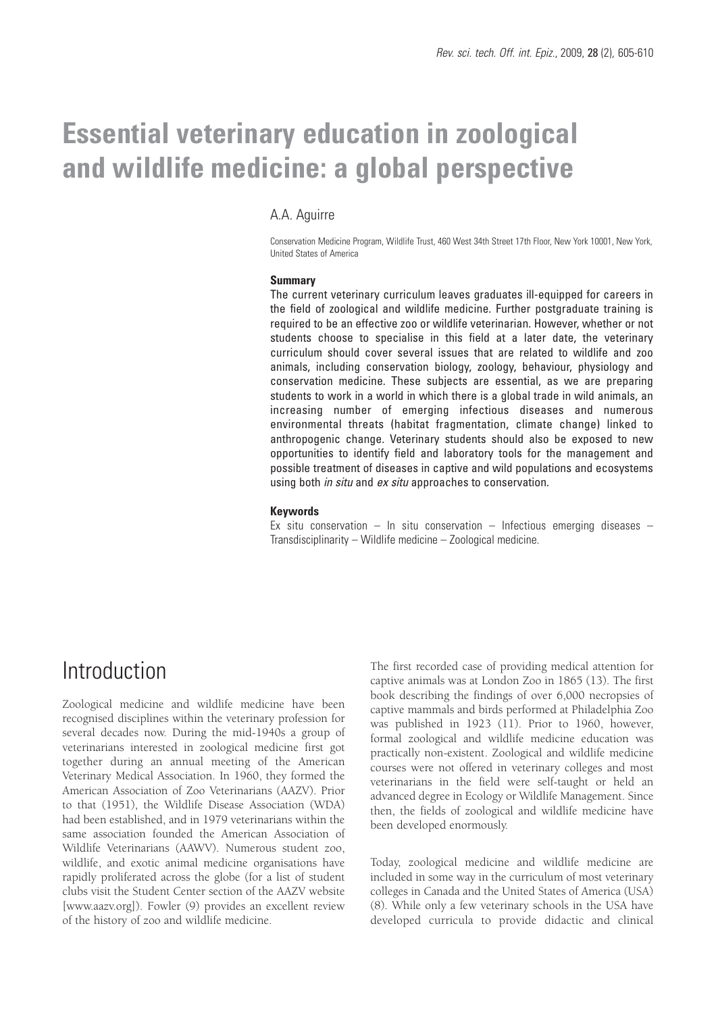# **Essential veterinary education in zoological and wildlife medicine: a global perspective**

### A.A. Aguirre

Conservation Medicine Program, Wildlife Trust, 460 West 34th Street 17th Floor, New York 10001, New York, United States of America

#### **Summary**

The current veterinary curriculum leaves graduates ill-equipped for careers in the field of zoological and wildlife medicine. Further postgraduate training is required to be an effective zoo or wildlife veterinarian. However, whether or not students choose to specialise in this field at a later date, the veterinary curriculum should cover several issues that are related to wildlife and zoo animals, including conservation biology, zoology, behaviour, physiology and conservation medicine. These subjects are essential, as we are preparing students to work in a world in which there is a global trade in wild animals, an increasing number of emerging infectious diseases and numerous environmental threats (habitat fragmentation, climate change) linked to anthropogenic change. Veterinary students should also be exposed to new opportunities to identify field and laboratory tools for the management and possible treatment of diseases in captive and wild populations and ecosystems using both *in situ* and *ex situ* approaches to conservation.

#### **Keywords**

Ex situ conservation – In situ conservation – Infectious emerging diseases – Transdisciplinarity – Wildlife medicine – Zoological medicine.

### Introduction

Zoological medicine and wildlife medicine have been recognised disciplines within the veterinary profession for several decades now. During the mid-1940s a group of veterinarians interested in zoological medicine first got together during an annual meeting of the American Veterinary Medical Association. In 1960, they formed the American Association of Zoo Veterinarians (AAZV). Prior to that (1951), the Wildlife Disease Association (WDA) had been established, and in 1979 veterinarians within the same association founded the American Association of Wildlife Veterinarians (AAWV). Numerous student zoo, wildlife, and exotic animal medicine organisations have rapidly proliferated across the globe (for a list of student clubs visit the Student Center section of the AAZV website [www.aazv.org]). Fowler (9) provides an excellent review of the history of zoo and wildlife medicine.

The first recorded case of providing medical attention for captive animals was at London Zoo in 1865 (13). The first book describing the findings of over 6,000 necropsies of captive mammals and birds performed at Philadelphia Zoo was published in 1923 (11). Prior to 1960, however, formal zoological and wildlife medicine education was practically non-existent. Zoological and wildlife medicine courses were not offered in veterinary colleges and most veterinarians in the field were self-taught or held an advanced degree in Ecology or Wildlife Management. Since then, the fields of zoological and wildlife medicine have been developed enormously.

Today, zoological medicine and wildlife medicine are included in some way in the curriculum of most veterinary colleges in Canada and the United States of America (USA) (8). While only a few veterinary schools in the USA have developed curricula to provide didactic and clinical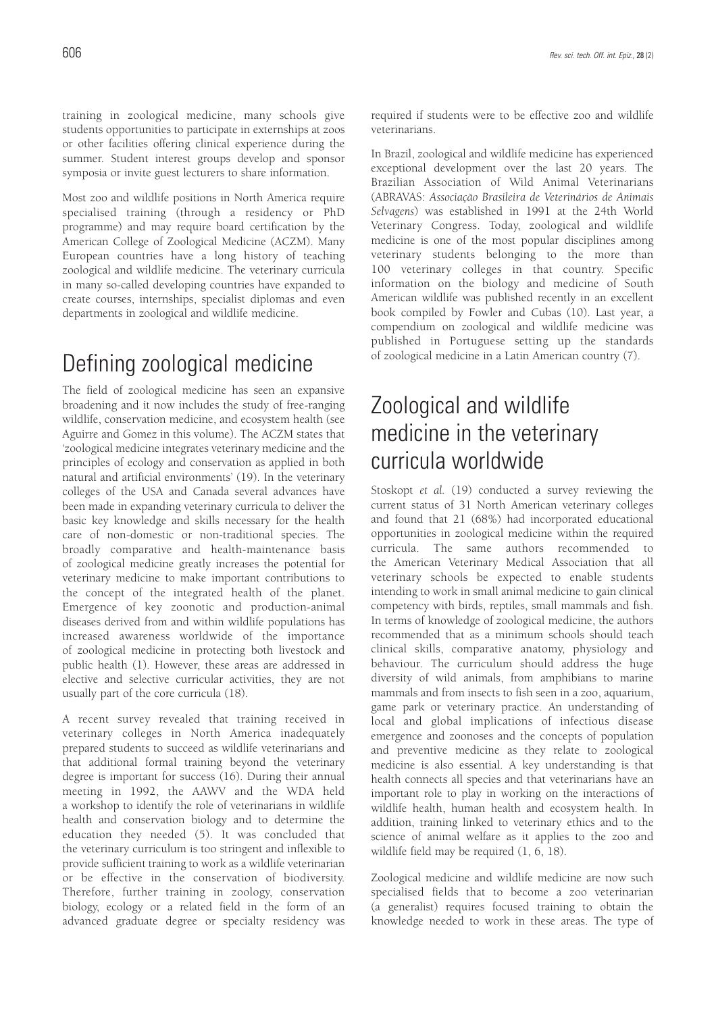training in zoological medicine, many schools give students opportunities to participate in externships at zoos or other facilities offering clinical experience during the summer. Student interest groups develop and sponsor symposia or invite guest lecturers to share information.

Most zoo and wildlife positions in North America require specialised training (through a residency or PhD programme) and may require board certification by the American College of Zoological Medicine (ACZM). Many European countries have a long history of teaching zoological and wildlife medicine. The veterinary curricula in many so-called developing countries have expanded to create courses, internships, specialist diplomas and even departments in zoological and wildlife medicine.

### Defining zoological medicine

The field of zoological medicine has seen an expansive broadening and it now includes the study of free-ranging wildlife, conservation medicine, and ecosystem health (see Aguirre and Gomez in this volume). The ACZM states that 'zoological medicine integrates veterinary medicine and the principles of ecology and conservation as applied in both natural and artificial environments' (19). In the veterinary colleges of the USA and Canada several advances have been made in expanding veterinary curricula to deliver the basic key knowledge and skills necessary for the health care of non-domestic or non-traditional species. The broadly comparative and health-maintenance basis of zoological medicine greatly increases the potential for veterinary medicine to make important contributions to the concept of the integrated health of the planet. Emergence of key zoonotic and production-animal diseases derived from and within wildlife populations has increased awareness worldwide of the importance of zoological medicine in protecting both livestock and public health (1). However, these areas are addressed in elective and selective curricular activities, they are not usually part of the core curricula (18).

A recent survey revealed that training received in veterinary colleges in North America inadequately prepared students to succeed as wildlife veterinarians and that additional formal training beyond the veterinary degree is important for success (16). During their annual meeting in 1992, the AAWV and the WDA held a workshop to identify the role of veterinarians in wildlife health and conservation biology and to determine the education they needed (5). It was concluded that the veterinary curriculum is too stringent and inflexible to provide sufficient training to work as a wildlife veterinarian or be effective in the conservation of biodiversity. Therefore, further training in zoology, conservation biology, ecology or a related field in the form of an advanced graduate degree or specialty residency was

required if students were to be effective zoo and wildlife veterinarians.

In Brazil, zoological and wildlife medicine has experienced exceptional development over the last 20 years. The Brazilian Association of Wild Animal Veterinarians (ABRAVAS: *Associação Brasileira de Veterinários de Animais Selvagens*) was established in 1991 at the 24th World Veterinary Congress. Today, zoological and wildlife medicine is one of the most popular disciplines among veterinary students belonging to the more than 100 veterinary colleges in that country. Specific information on the biology and medicine of South American wildlife was published recently in an excellent book compiled by Fowler and Cubas (10). Last year, a compendium on zoological and wildlife medicine was published in Portuguese setting up the standards of zoological medicine in a Latin American country (7).

### Zoological and wildlife medicine in the veterinary curricula worldwide

Stoskopt *et al.* (19) conducted a survey reviewing the current status of 31 North American veterinary colleges and found that 21 (68%) had incorporated educational opportunities in zoological medicine within the required curricula. The same authors recommended to the American Veterinary Medical Association that all veterinary schools be expected to enable students intending to work in small animal medicine to gain clinical competency with birds, reptiles, small mammals and fish. In terms of knowledge of zoological medicine, the authors recommended that as a minimum schools should teach clinical skills, comparative anatomy, physiology and behaviour. The curriculum should address the huge diversity of wild animals, from amphibians to marine mammals and from insects to fish seen in a zoo, aquarium, game park or veterinary practice. An understanding of local and global implications of infectious disease emergence and zoonoses and the concepts of population and preventive medicine as they relate to zoological medicine is also essential. A key understanding is that health connects all species and that veterinarians have an important role to play in working on the interactions of wildlife health, human health and ecosystem health. In addition, training linked to veterinary ethics and to the science of animal welfare as it applies to the zoo and wildlife field may be required (1, 6, 18).

Zoological medicine and wildlife medicine are now such specialised fields that to become a zoo veterinarian (a generalist) requires focused training to obtain the knowledge needed to work in these areas. The type of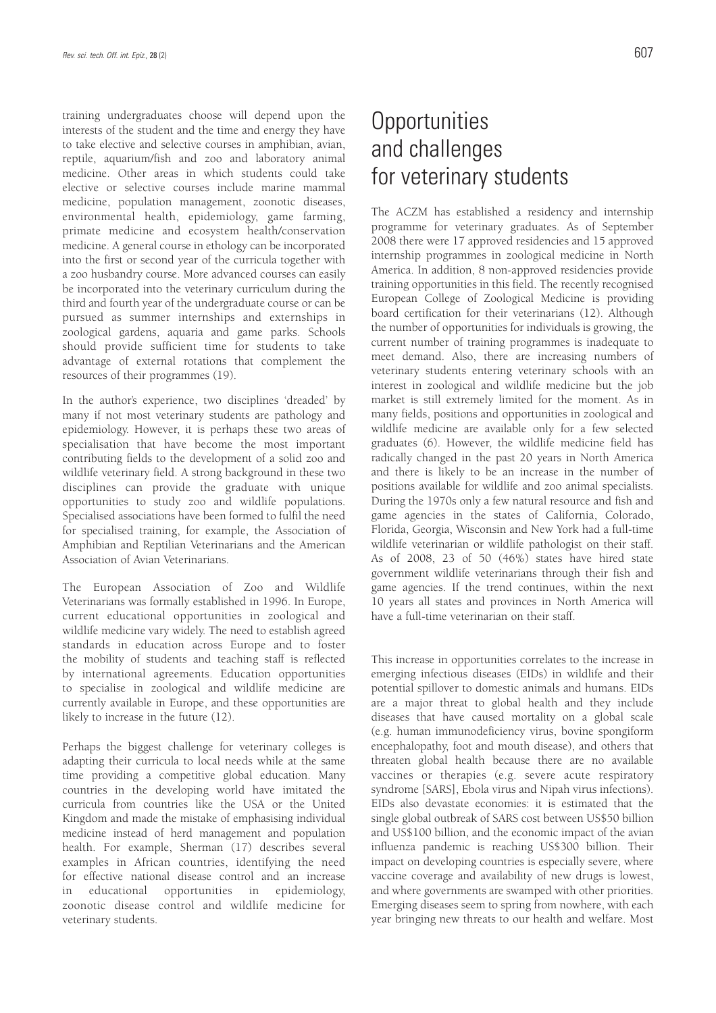training undergraduates choose will depend upon the interests of the student and the time and energy they have to take elective and selective courses in amphibian, avian, reptile, aquarium/fish and zoo and laboratory animal medicine. Other areas in which students could take elective or selective courses include marine mammal medicine, population management, zoonotic diseases, environmental health, epidemiology, game farming, primate medicine and ecosystem health/conservation medicine. A general course in ethology can be incorporated into the first or second year of the curricula together with a zoo husbandry course. More advanced courses can easily be incorporated into the veterinary curriculum during the third and fourth year of the undergraduate course or can be pursued as summer internships and externships in zoological gardens, aquaria and game parks. Schools should provide sufficient time for students to take advantage of external rotations that complement the resources of their programmes (19).

In the author's experience, two disciplines 'dreaded' by many if not most veterinary students are pathology and epidemiology. However, it is perhaps these two areas of specialisation that have become the most important contributing fields to the development of a solid zoo and wildlife veterinary field. A strong background in these two disciplines can provide the graduate with unique opportunities to study zoo and wildlife populations. Specialised associations have been formed to fulfil the need for specialised training, for example, the Association of Amphibian and Reptilian Veterinarians and the American Association of Avian Veterinarians.

The European Association of Zoo and Wildlife Veterinarians was formally established in 1996. In Europe, current educational opportunities in zoological and wildlife medicine vary widely. The need to establish agreed standards in education across Europe and to foster the mobility of students and teaching staff is reflected by international agreements. Education opportunities to specialise in zoological and wildlife medicine are currently available in Europe, and these opportunities are likely to increase in the future (12).

Perhaps the biggest challenge for veterinary colleges is adapting their curricula to local needs while at the same time providing a competitive global education. Many countries in the developing world have imitated the curricula from countries like the USA or the United Kingdom and made the mistake of emphasising individual medicine instead of herd management and population health. For example, Sherman (17) describes several examples in African countries, identifying the need for effective national disease control and an increase in educational opportunities in epidemiology, zoonotic disease control and wildlife medicine for veterinary students.

### **Opportunities** and challenges for veterinary students

The ACZM has established a residency and internship programme for veterinary graduates. As of September 2008 there were 17 approved residencies and 15 approved internship programmes in zoological medicine in North America. In addition, 8 non-approved residencies provide training opportunities in this field. The recently recognised European College of Zoological Medicine is providing board certification for their veterinarians (12). Although the number of opportunities for individuals is growing, the current number of training programmes is inadequate to meet demand. Also, there are increasing numbers of veterinary students entering veterinary schools with an interest in zoological and wildlife medicine but the job market is still extremely limited for the moment. As in many fields, positions and opportunities in zoological and wildlife medicine are available only for a few selected graduates (6). However, the wildlife medicine field has radically changed in the past 20 years in North America and there is likely to be an increase in the number of positions available for wildlife and zoo animal specialists. During the 1970s only a few natural resource and fish and game agencies in the states of California, Colorado, Florida, Georgia, Wisconsin and New York had a full-time wildlife veterinarian or wildlife pathologist on their staff. As of 2008, 23 of 50 (46%) states have hired state government wildlife veterinarians through their fish and game agencies. If the trend continues, within the next 10 years all states and provinces in North America will have a full-time veterinarian on their staff.

This increase in opportunities correlates to the increase in emerging infectious diseases (EIDs) in wildlife and their potential spillover to domestic animals and humans. EIDs are a major threat to global health and they include diseases that have caused mortality on a global scale (e.g. human immunodeficiency virus, bovine spongiform encephalopathy, foot and mouth disease), and others that threaten global health because there are no available vaccines or therapies (e.g. severe acute respiratory syndrome [SARS], Ebola virus and Nipah virus infections). EIDs also devastate economies: it is estimated that the single global outbreak of SARS cost between US\$50 billion and US\$100 billion, and the economic impact of the avian influenza pandemic is reaching US\$300 billion. Their impact on developing countries is especially severe, where vaccine coverage and availability of new drugs is lowest, and where governments are swamped with other priorities. Emerging diseases seem to spring from nowhere, with each year bringing new threats to our health and welfare. Most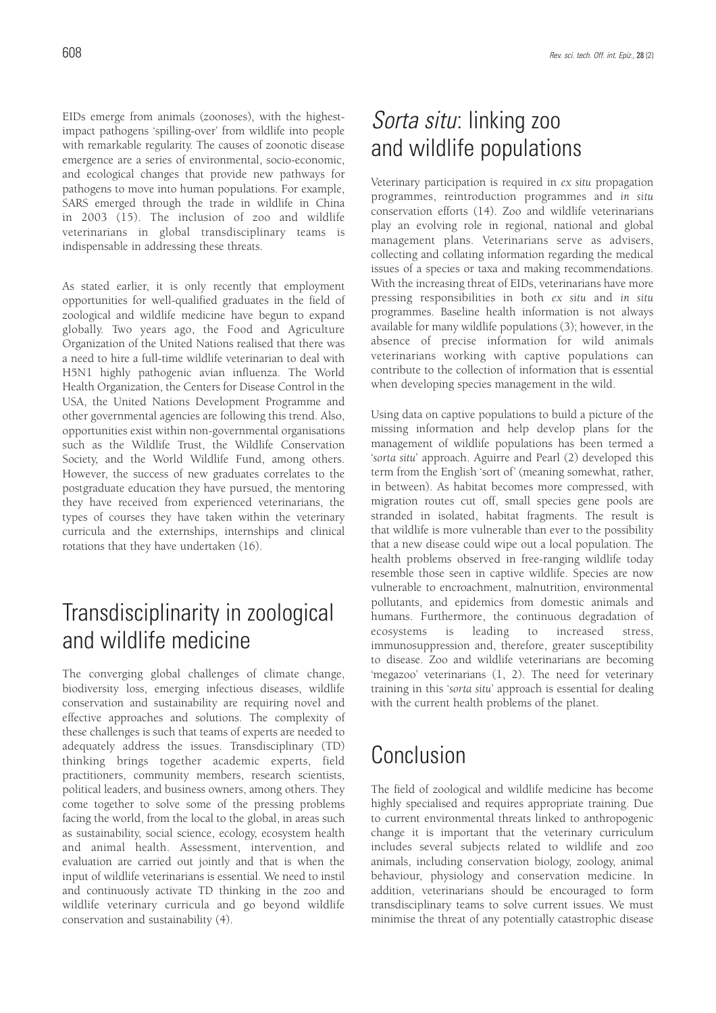EIDs emerge from animals (zoonoses), with the highestimpact pathogens 'spilling-over' from wildlife into people with remarkable regularity. The causes of zoonotic disease emergence are a series of environmental, socio-economic, and ecological changes that provide new pathways for pathogens to move into human populations. For example, SARS emerged through the trade in wildlife in China in 2003 (15). The inclusion of zoo and wildlife veterinarians in global transdisciplinary teams is indispensable in addressing these threats.

As stated earlier, it is only recently that employment opportunities for well-qualified graduates in the field of zoological and wildlife medicine have begun to expand globally. Two years ago, the Food and Agriculture Organization of the United Nations realised that there was a need to hire a full-time wildlife veterinarian to deal with H5N1 highly pathogenic avian influenza. The World Health Organization, the Centers for Disease Control in the USA, the United Nations Development Programme and other governmental agencies are following this trend. Also, opportunities exist within non-governmental organisations such as the Wildlife Trust, the Wildlife Conservation Society, and the World Wildlife Fund, among others. However, the success of new graduates correlates to the postgraduate education they have pursued, the mentoring they have received from experienced veterinarians, the types of courses they have taken within the veterinary curricula and the externships, internships and clinical rotations that they have undertaken (16).

## Transdisciplinarity in zoological and wildlife medicine

The converging global challenges of climate change, biodiversity loss, emerging infectious diseases, wildlife conservation and sustainability are requiring novel and effective approaches and solutions. The complexity of these challenges is such that teams of experts are needed to adequately address the issues. Transdisciplinary (TD) thinking brings together academic experts, field practitioners, community members, research scientists, political leaders, and business owners, among others. They come together to solve some of the pressing problems facing the world, from the local to the global, in areas such as sustainability, social science, ecology, ecosystem health and animal health. Assessment, intervention, and evaluation are carried out jointly and that is when the input of wildlife veterinarians is essential. We need to instil and continuously activate TD thinking in the zoo and wildlife veterinary curricula and go beyond wildlife conservation and sustainability (4).

### *Sorta situ*: linking zoo and wildlife populations

Veterinary participation is required in *ex situ* propagation programmes, reintroduction programmes and *in situ* conservation efforts (14). Zoo and wildlife veterinarians play an evolving role in regional, national and global management plans. Veterinarians serve as advisers, collecting and collating information regarding the medical issues of a species or taxa and making recommendations. With the increasing threat of EIDs, veterinarians have more pressing responsibilities in both *ex situ* and *in situ* programmes. Baseline health information is not always available for many wildlife populations (3); however, in the absence of precise information for wild animals veterinarians working with captive populations can contribute to the collection of information that is essential when developing species management in the wild.

Using data on captive populations to build a picture of the missing information and help develop plans for the management of wildlife populations has been termed a '*sorta situ*' approach. Aguirre and Pearl (2) developed this term from the English 'sort of' (meaning somewhat, rather, in between). As habitat becomes more compressed, with migration routes cut off, small species gene pools are stranded in isolated, habitat fragments. The result is that wildlife is more vulnerable than ever to the possibility that a new disease could wipe out a local population. The health problems observed in free-ranging wildlife today resemble those seen in captive wildlife. Species are now vulnerable to encroachment, malnutrition, environmental pollutants, and epidemics from domestic animals and humans. Furthermore, the continuous degradation of ecosystems is leading to increased stress, immunosuppression and, therefore, greater susceptibility to disease. Zoo and wildlife veterinarians are becoming 'megazoo' veterinarians (1, 2). The need for veterinary training in this '*sorta situ*' approach is essential for dealing with the current health problems of the planet.

## Conclusion

The field of zoological and wildlife medicine has become highly specialised and requires appropriate training. Due to current environmental threats linked to anthropogenic change it is important that the veterinary curriculum includes several subjects related to wildlife and zoo animals, including conservation biology, zoology, animal behaviour, physiology and conservation medicine. In addition, veterinarians should be encouraged to form transdisciplinary teams to solve current issues. We must minimise the threat of any potentially catastrophic disease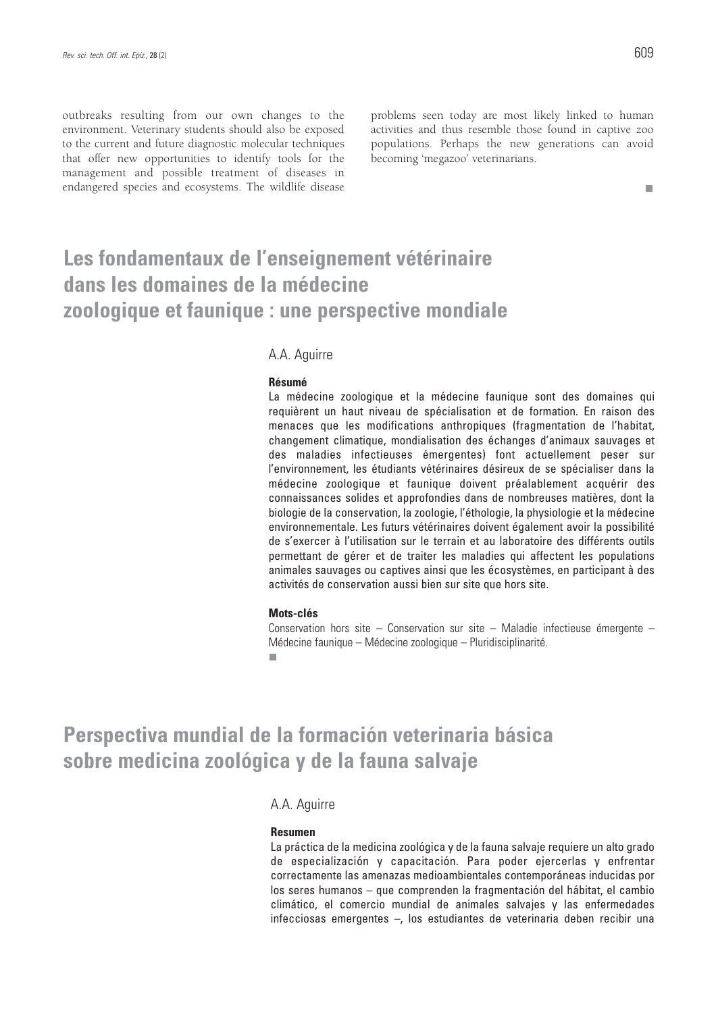outbreaks resulting from our own changes to the environment. Veterinary students should also be exposed to the current and future diagnostic molecular techniques that offer new opportunities to identify tools for the management and possible treatment of diseases in endangered species and ecosystems. The wildlife disease

problems seen today are most likely linked to human activities and thus resemble those found in captive zoo populations. Perhaps the new generations can avoid becoming 'megazoo' veterinarians.

#### П

### **Les fondamentaux de l'enseignement vétérinaire dans les domaines de la médecine zoologique et faunique : une perspective mondiale**

### A.A. Aguirre

#### **Résumé**

La médecine zoologique et la médecine faunique sont des domaines qui requièrent un haut niveau de spécialisation et de formation. En raison des menaces que les modifications anthropiques (fragmentation de l'habitat, changement climatique, mondialisation des échanges d'animaux sauvages et des maladies infectieuses émergentes) font actuellement peser sur l'environnement, les étudiants vétérinaires désireux de se spécialiser dans la médecine zoologique et faunique doivent préalablement acquérir des connaissances solides et approfondies dans de nombreuses matières, dont la biologie de la conservation, la zoologie, l'éthologie, la physiologie et la médecine environnementale. Les futurs vétérinaires doivent également avoir la possibilité de s'exercer à l'utilisation sur le terrain et au laboratoire des différents outils permettant de gérer et de traiter les maladies qui affectent les populations animales sauvages ou captives ainsi que les écosystèmes, en participant à des activités de conservation aussi bien sur site que hors site.

#### **Mots-clés**

Conservation hors site – Conservation sur site – Maladie infectieuse émergente – Médecine faunique – Médecine zoologique – Pluridisciplinarité. п

### **Perspectiva mundial de la formación veterinaria básica sobre medicina zoológica y de la fauna salvaje**

### A.A. Aguirre

#### **Resumen**

La práctica de la medicina zoológica y de la fauna salvaje requiere un alto grado de especialización y capacitación. Para poder ejercerlas y enfrentar correctamente las amenazas medioambientales contemporáneas inducidas por los seres humanos – que comprenden la fragmentación del hábitat, el cambio climático, el comercio mundial de animales salvajes y las enfermedades infecciosas emergentes –, los estudiantes de veterinaria deben recibir una